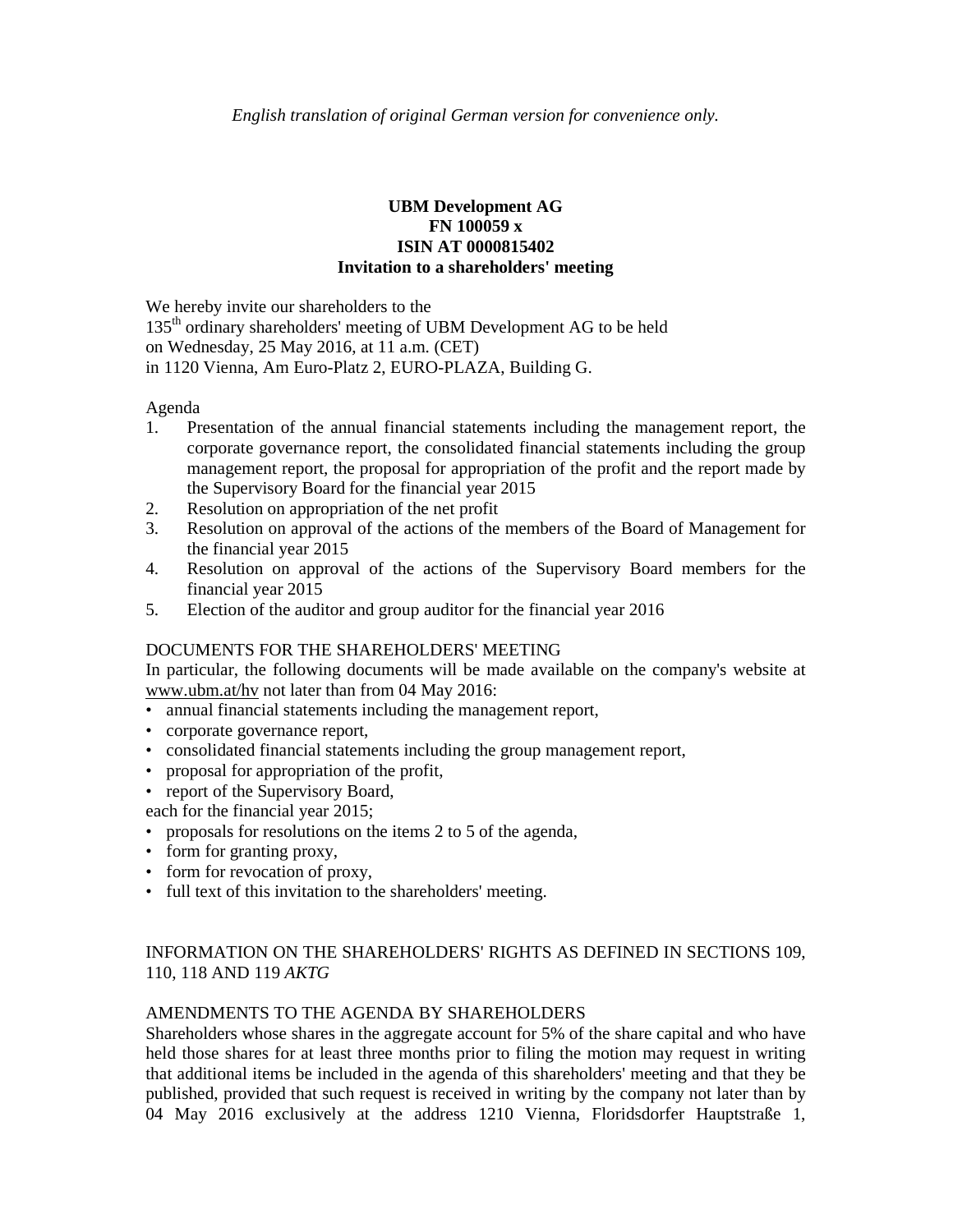# **UBM Development AG FN 100059 x ISIN AT 0000815402 Invitation to a shareholders' meeting**

We hereby invite our shareholders to the

135<sup>th</sup> ordinary shareholders' meeting of UBM Development AG to be held on Wednesday, 25 May 2016, at 11 a.m. (CET)

in 1120 Vienna, Am Euro-Platz 2, EURO-PLAZA, Building G.

### Agenda

- 1. Presentation of the annual financial statements including the management report, the corporate governance report, the consolidated financial statements including the group management report, the proposal for appropriation of the profit and the report made by the Supervisory Board for the financial year 2015
- 2. Resolution on appropriation of the net profit
- 3. Resolution on approval of the actions of the members of the Board of Management for the financial year 2015
- 4. Resolution on approval of the actions of the Supervisory Board members for the financial year 2015
- 5. Election of the auditor and group auditor for the financial year 2016

### DOCUMENTS FOR THE SHAREHOLDERS' MEETING

In particular, the following documents will be made available on the company's website at www.ubm.at/hv not later than from 04 May 2016:

- annual financial statements including the management report,
- corporate governance report,
- consolidated financial statements including the group management report,
- proposal for appropriation of the profit,
- report of the Supervisory Board,
- each for the financial year 2015;
- proposals for resolutions on the items 2 to 5 of the agenda,
- form for granting proxy,
- form for revocation of proxy,
- full text of this invitation to the shareholders' meeting.

# INFORMATION ON THE SHAREHOLDERS' RIGHTS AS DEFINED IN SECTIONS 109, 110, 118 AND 119 *AKTG*

# AMENDMENTS TO THE AGENDA BY SHAREHOLDERS

Shareholders whose shares in the aggregate account for 5% of the share capital and who have held those shares for at least three months prior to filing the motion may request in writing that additional items be included in the agenda of this shareholders' meeting and that they be published, provided that such request is received in writing by the company not later than by 04 May 2016 exclusively at the address 1210 Vienna, Floridsdorfer Hauptstraße 1,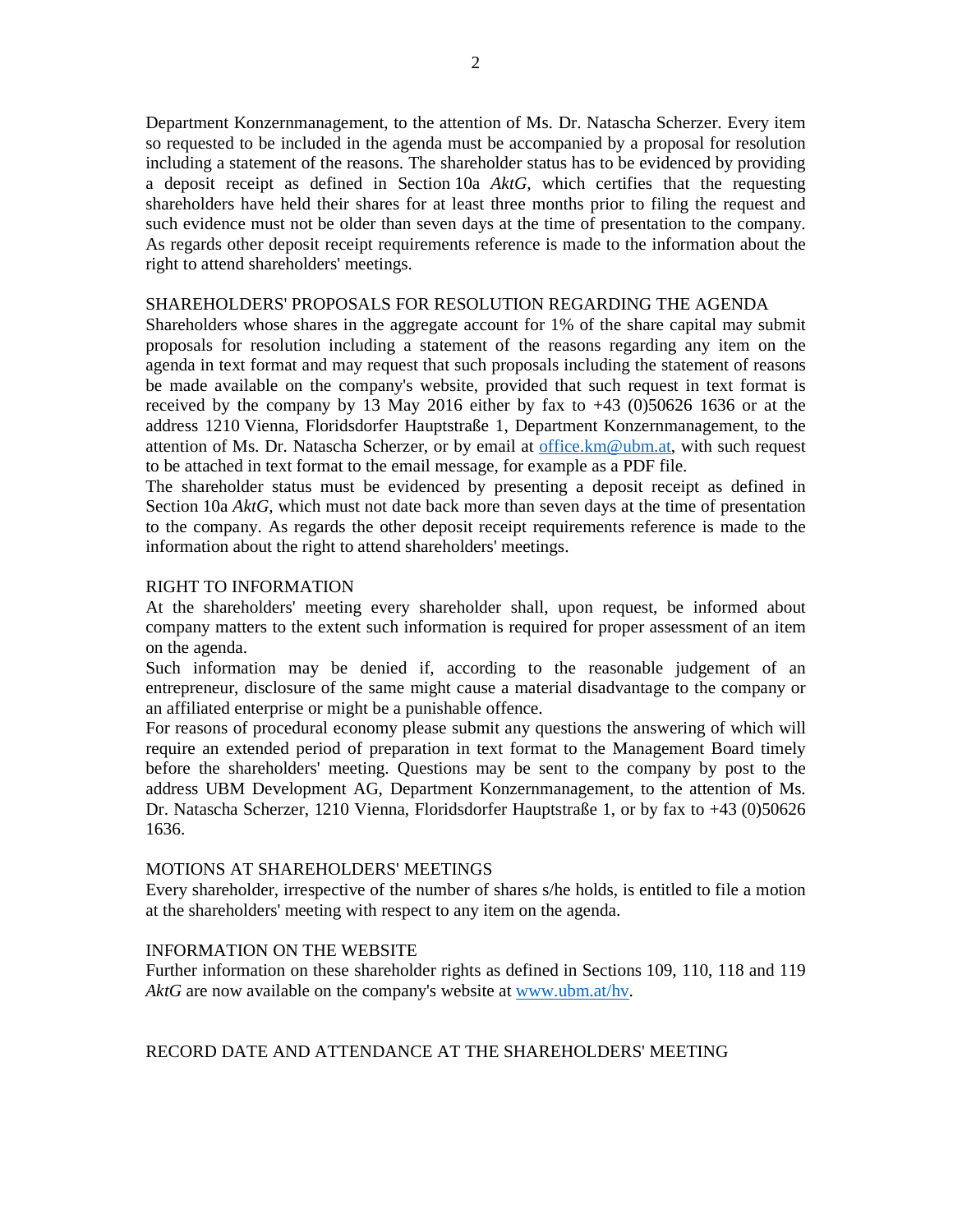Department Konzernmanagement, to the attention of Ms. Dr. Natascha Scherzer. Every item so requested to be included in the agenda must be accompanied by a proposal for resolution including a statement of the reasons. The shareholder status has to be evidenced by providing a deposit receipt as defined in Section 10a *AktG,* which certifies that the requesting shareholders have held their shares for at least three months prior to filing the request and such evidence must not be older than seven days at the time of presentation to the company. As regards other deposit receipt requirements reference is made to the information about the right to attend shareholders' meetings.

### SHAREHOLDERS' PROPOSALS FOR RESOLUTION REGARDING THE AGENDA

Shareholders whose shares in the aggregate account for 1% of the share capital may submit proposals for resolution including a statement of the reasons regarding any item on the agenda in text format and may request that such proposals including the statement of reasons be made available on the company's website, provided that such request in text format is received by the company by 13 May 2016 either by fax to  $+43$  (0)50626 1636 or at the address 1210 Vienna, Floridsdorfer Hauptstraße 1, Department Konzernmanagement, to the attention of Ms. Dr. Natascha Scherzer, or by email at office.km@ubm.at, with such request to be attached in text format to the email message, for example as a PDF file.

The shareholder status must be evidenced by presenting a deposit receipt as defined in Section 10a *AktG,* which must not date back more than seven days at the time of presentation to the company. As regards the other deposit receipt requirements reference is made to the information about the right to attend shareholders' meetings.

### RIGHT TO INFORMATION

At the shareholders' meeting every shareholder shall, upon request, be informed about company matters to the extent such information is required for proper assessment of an item on the agenda.

Such information may be denied if, according to the reasonable judgement of an entrepreneur, disclosure of the same might cause a material disadvantage to the company or an affiliated enterprise or might be a punishable offence.

For reasons of procedural economy please submit any questions the answering of which will require an extended period of preparation in text format to the Management Board timely before the shareholders' meeting. Questions may be sent to the company by post to the address UBM Development AG, Department Konzernmanagement, to the attention of Ms. Dr. Natascha Scherzer, 1210 Vienna, Floridsdorfer Hauptstraße 1, or by fax to +43 (0)50626 1636.

### MOTIONS AT SHAREHOLDERS' MEETINGS

Every shareholder, irrespective of the number of shares s/he holds, is entitled to file a motion at the shareholders' meeting with respect to any item on the agenda.

### INFORMATION ON THE WEBSITE

Further information on these shareholder rights as defined in Sections 109, 110, 118 and 119 *AktG* are now available on the company's website at www.ubm.at/hv.

RECORD DATE AND ATTENDANCE AT THE SHAREHOLDERS' MEETING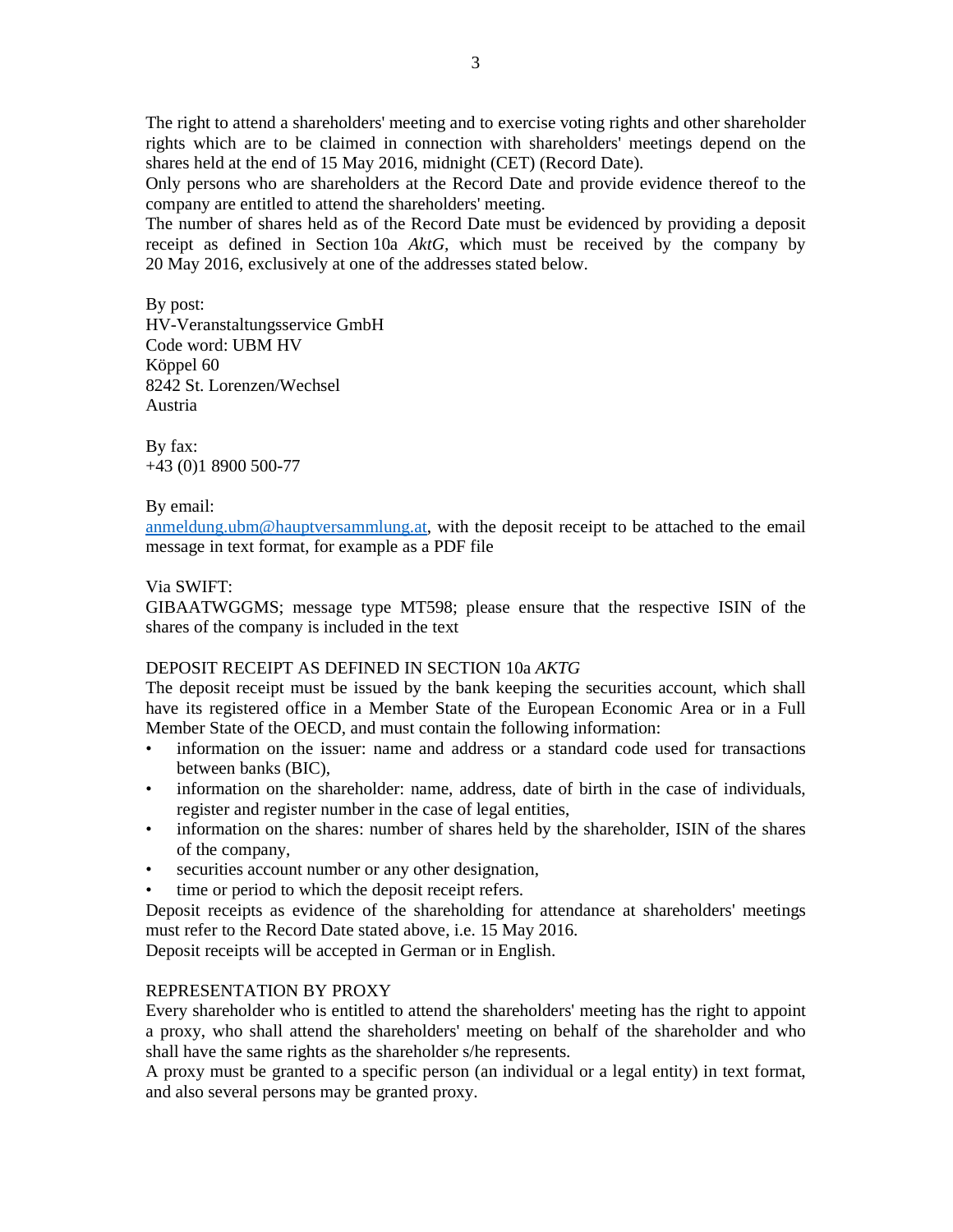The right to attend a shareholders' meeting and to exercise voting rights and other shareholder rights which are to be claimed in connection with shareholders' meetings depend on the shares held at the end of 15 May 2016, midnight (CET) (Record Date).

Only persons who are shareholders at the Record Date and provide evidence thereof to the company are entitled to attend the shareholders' meeting.

The number of shares held as of the Record Date must be evidenced by providing a deposit receipt as defined in Section 10a *AktG,* which must be received by the company by 20 May 2016, exclusively at one of the addresses stated below.

By post: HV-Veranstaltungsservice GmbH Code word: UBM HV Köppel 60 8242 St. Lorenzen/Wechsel Austria

By fax: +43 (0)1 8900 500-77

### By email:

anmeldung.ubm@hauptversammlung.at, with the deposit receipt to be attached to the email message in text format, for example as a PDF file

### Via SWIFT:

GIBAATWGGMS; message type MT598; please ensure that the respective ISIN of the shares of the company is included in the text

### DEPOSIT RECEIPT AS DEFINED IN SECTION 10a *AKTG*

The deposit receipt must be issued by the bank keeping the securities account, which shall have its registered office in a Member State of the European Economic Area or in a Full Member State of the OECD, and must contain the following information:

- information on the issuer: name and address or a standard code used for transactions between banks (BIC),
- information on the shareholder: name, address, date of birth in the case of individuals, register and register number in the case of legal entities,
- information on the shares: number of shares held by the shareholder, ISIN of the shares of the company,
- securities account number or any other designation,
- time or period to which the deposit receipt refers.

Deposit receipts as evidence of the shareholding for attendance at shareholders' meetings must refer to the Record Date stated above, i.e. 15 May 2016.

Deposit receipts will be accepted in German or in English.

### REPRESENTATION BY PROXY

Every shareholder who is entitled to attend the shareholders' meeting has the right to appoint a proxy, who shall attend the shareholders' meeting on behalf of the shareholder and who shall have the same rights as the shareholder s/he represents.

A proxy must be granted to a specific person (an individual or a legal entity) in text format, and also several persons may be granted proxy.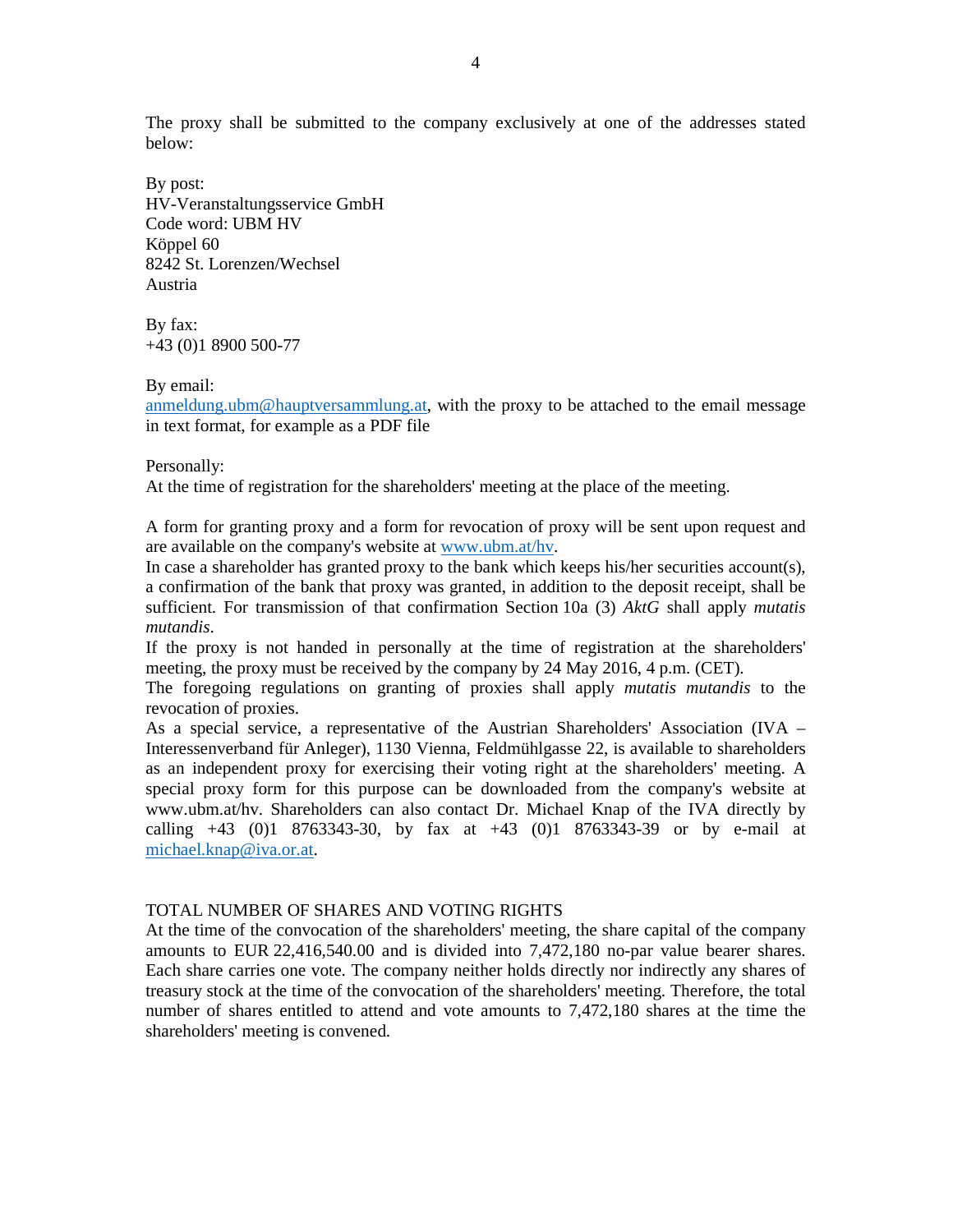The proxy shall be submitted to the company exclusively at one of the addresses stated below:

By post: HV-Veranstaltungsservice GmbH Code word: UBM HV Köppel 60 8242 St. Lorenzen/Wechsel Austria

By fax: +43 (0)1 8900 500-77

By email:

anmeldung.ubm@hauptversammlung.at, with the proxy to be attached to the email message in text format, for example as a PDF file

Personally:

At the time of registration for the shareholders' meeting at the place of the meeting.

A form for granting proxy and a form for revocation of proxy will be sent upon request and are available on the company's website at www.ubm.at/hv.

In case a shareholder has granted proxy to the bank which keeps his/her securities account(s), a confirmation of the bank that proxy was granted, in addition to the deposit receipt, shall be sufficient. For transmission of that confirmation Section 10a (3) *AktG* shall apply *mutatis mutandis*.

If the proxy is not handed in personally at the time of registration at the shareholders' meeting, the proxy must be received by the company by 24 May 2016, 4 p.m. (CET).

The foregoing regulations on granting of proxies shall apply *mutatis mutandis* to the revocation of proxies.

As a special service, a representative of the Austrian Shareholders' Association (IVA – Interessenverband für Anleger), 1130 Vienna, Feldmühlgasse 22, is available to shareholders as an independent proxy for exercising their voting right at the shareholders' meeting. A special proxy form for this purpose can be downloaded from the company's website at www.ubm.at/hv. Shareholders can also contact Dr. Michael Knap of the IVA directly by calling +43 (0)1 8763343-30, by fax at +43 (0)1 8763343-39 or by e-mail at michael.knap@iva.or.at.

#### TOTAL NUMBER OF SHARES AND VOTING RIGHTS

At the time of the convocation of the shareholders' meeting, the share capital of the company amounts to EUR 22,416,540.00 and is divided into 7,472,180 no-par value bearer shares. Each share carries one vote. The company neither holds directly nor indirectly any shares of treasury stock at the time of the convocation of the shareholders' meeting. Therefore, the total number of shares entitled to attend and vote amounts to 7,472,180 shares at the time the shareholders' meeting is convened.